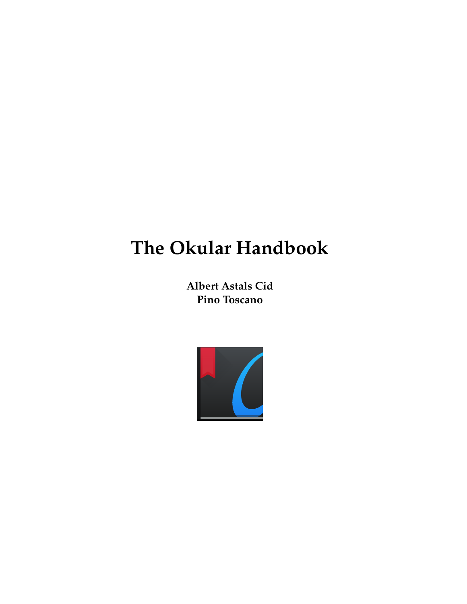**Albert Astals Cid Pino Toscano**

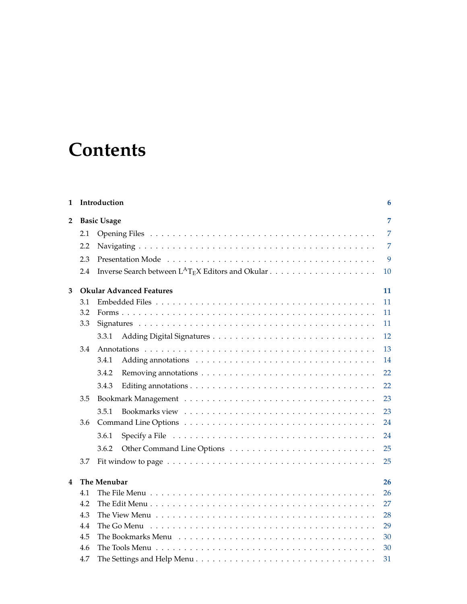# **Contents**

| 1 |     | Introduction                    | 6              |
|---|-----|---------------------------------|----------------|
| 2 |     | <b>Basic Usage</b>              | 7              |
|   | 2.1 |                                 | $\overline{7}$ |
|   | 2.2 |                                 | 7              |
|   | 2.3 |                                 | 9              |
|   | 2.4 |                                 | 10             |
| 3 |     | <b>Okular Advanced Features</b> | 11             |
|   | 3.1 |                                 | 11             |
|   | 3.2 |                                 | 11             |
|   | 3.3 |                                 | 11             |
|   |     | 3.3.1                           | 12             |
|   | 3.4 |                                 | 13             |
|   |     | 3.4.1                           | 14             |
|   |     | 3.4.2                           | 22             |
|   |     | 3.4.3                           | 22             |
|   | 3.5 |                                 | 23             |
|   |     | 3.5.1                           | 23             |
|   | 3.6 |                                 | 24             |
|   |     | 3.6.1                           | 24             |
|   |     | 3.6.2                           | 25             |
|   | 3.7 |                                 | 25             |
| 4 |     | The Menubar                     | 26             |
|   | 4.1 |                                 | 26             |
|   | 4.2 |                                 | 27             |
|   | 4.3 |                                 | 28             |
|   | 4.4 | The Go Menu                     | 29             |
|   | 4.5 |                                 | 30             |
|   | 4.6 |                                 | 30             |
|   | 4.7 |                                 | 31             |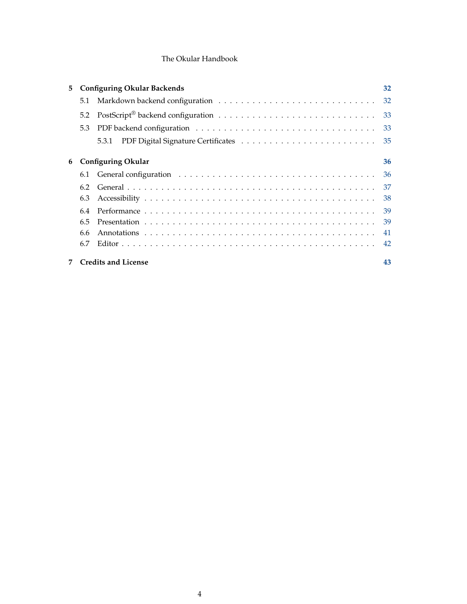| 5 |            | <b>Configuring Okular Backends</b> | 32  |
|---|------------|------------------------------------|-----|
|   | 5.1        |                                    |     |
|   | 5.2        |                                    |     |
|   | 5.3        |                                    | 33  |
|   |            |                                    |     |
| 6 |            | <b>Configuring Okular</b>          | 36  |
|   |            |                                    | 36  |
|   | 6.2<br>6.3 |                                    | 38  |
|   | 6.4        |                                    |     |
|   | 6.5        |                                    |     |
|   | 6.6        |                                    | -41 |
|   | 6.7        |                                    |     |
|   |            | <b>Credits and License</b>         | 43  |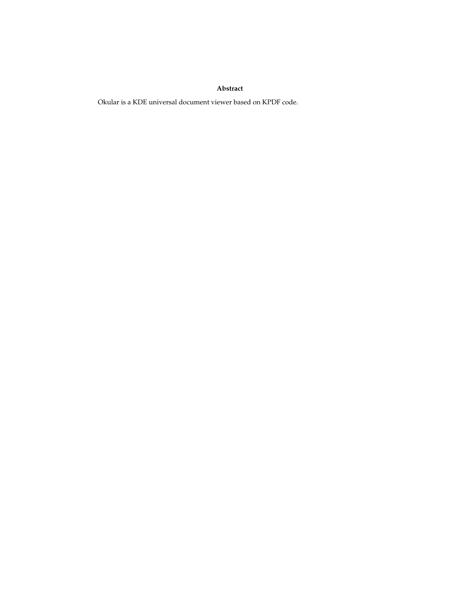### **Abstract**

Okular is a KDE universal document viewer based on KPDF code.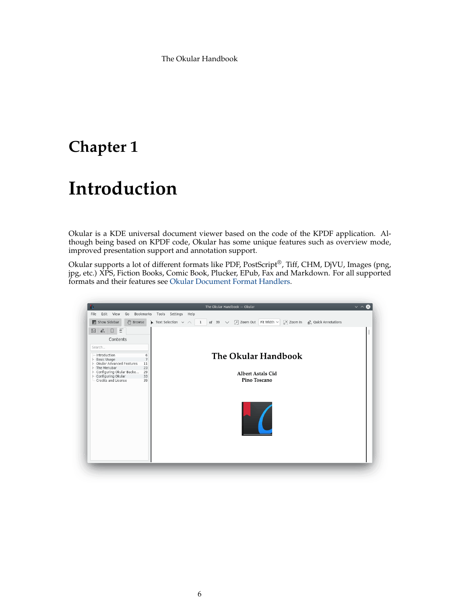# <span id="page-5-0"></span>**Chapter 1**

# **Introduction**

Okular is a KDE universal document viewer based on the code of the KPDF application. Although being based on KPDF code, Okular has some unique features such as overview mode, improved presentation support and annotation support.

Okular supports a lot of different formats like PDF, PostScript®, Tiff, CHM, DjVU, Images (png, jpg, etc.) XPS, Fiction Books, Comic Book, Plucker, EPub, Fax and Markdown. For all supported formats and their features see [Okular Document Format Handlers.](https://okular.kde.org/formats.php)

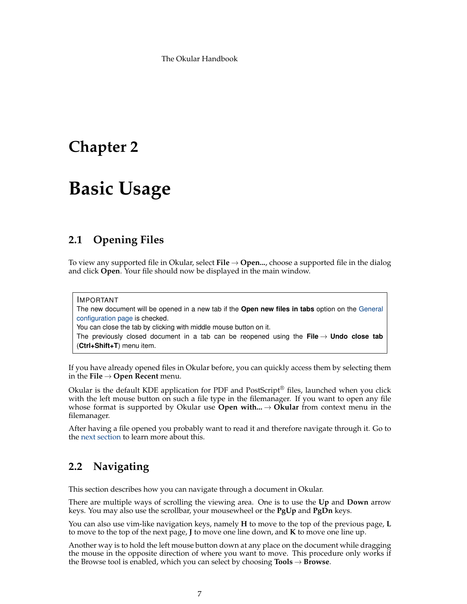# <span id="page-6-0"></span>**Chapter 2**

# **Basic Usage**

# <span id="page-6-1"></span>**2.1 Opening Files**

<span id="page-6-4"></span>To view any supported file in Okular, select **File** → **Open...**, choose a supported file in the dialog and click **Open**. Your file should now be displayed in the main window.

IMPORTANT The new document will be opened in a new tab if the **Open new files in tabs** option on the [General](#page-36-1) [configuration page](#page-36-1) is checked. You can close the tab by clicking with middle mouse button on it. The previously closed document in a tab can be reopened using the **File**  $\rightarrow$  **Undo close tab** (**Ctrl+Shift+T**) menu item.

If you have already opened files in Okular before, you can quickly access them by selecting them in the **File** → **Open Recent** menu.

Okular is the default KDE application for PDF and PostScript<sup>®</sup> files, launched when you click with the left mouse button on such a file type in the filemanager. If you want to open any file whose format is supported by Okular use **Open with...**  $\rightarrow$  **Okular** from context menu in the filemanager.

After having a file opened you probably want to read it and therefore navigate through it. Go to the [next section](#page-6-3) to learn more about this.

# <span id="page-6-2"></span>**2.2 Navigating**

<span id="page-6-3"></span>This section describes how you can navigate through a document in Okular.

There are multiple ways of scrolling the viewing area. One is to use the **Up** and **Down** arrow keys. You may also use the scrollbar, your mousewheel or the **PgUp** and **PgDn** keys.

You can also use vim-like navigation keys, namely **H** to move to the top of the previous page, **L** to move to the top of the next page, **J** to move one line down, and **K** to move one line up.

Another way is to hold the left mouse button down at any place on the document while dragging the mouse in the opposite direction of where you want to move. This procedure only works if the Browse tool is enabled, which you can select by choosing **Tools** → **Browse**.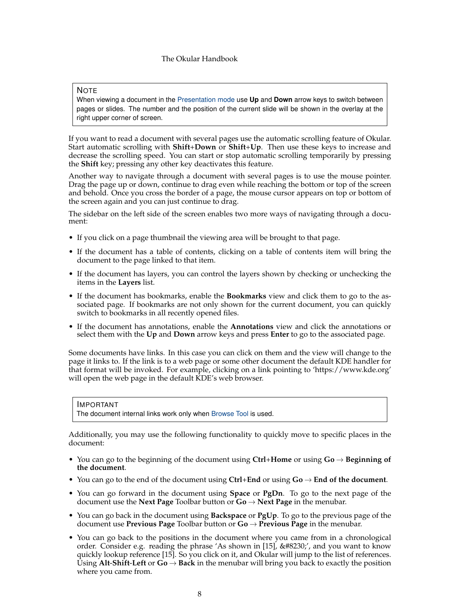#### NOTE

When viewing a document in the [Presentation mode](#page-8-1) use **Up** and **Down** arrow keys to switch between pages or slides. The number and the position of the current slide will be shown in the overlay at the right upper corner of screen.

If you want to read a document with several pages use the automatic scrolling feature of Okular. Start automatic scrolling with **Shift**+**Down** or **Shift**+**Up**. Then use these keys to increase and decrease the scrolling speed. You can start or stop automatic scrolling temporarily by pressing the **Shift** key; pressing any other key deactivates this feature.

Another way to navigate through a document with several pages is to use the mouse pointer. Drag the page up or down, continue to drag even while reaching the bottom or top of the screen and behold. Once you cross the border of a page, the mouse cursor appears on top or bottom of the screen again and you can just continue to drag.

The sidebar on the left side of the screen enables two more ways of navigating through a document:

- If you click on a page thumbnail the viewing area will be brought to that page.
- If the document has a table of contents, clicking on a table of contents item will bring the document to the page linked to that item.
- If the document has layers, you can control the layers shown by checking or unchecking the items in the **Layers** list.
- If the document has bookmarks, enable the **Bookmarks** view and click them to go to the associated page. If bookmarks are not only shown for the current document, you can quickly switch to bookmarks in all recently opened files.
- If the document has annotations, enable the **Annotations** view and click the annotations or select them with the **Up** and **Down** arrow keys and press **Enter** to go to the associated page.

Some documents have links. In this case you can click on them and the view will change to the page it links to. If the link is to a web page or some other document the default KDE handler for that format will be invoked. For example, clicking on a link pointing to 'https://www.kde.org' will open the web page in the default KDE's web browser.

#### IMPORTANT

The document internal links work only when [Browse Tool](#page-29-2) is used.

Additionally, you may use the following functionality to quickly move to specific places in the document:

- You can go to the beginning of the document using **Ctrl**+**Home** or using **Go** → **Beginning of the document**.
- You can go to the end of the document using **Ctrl**+**End** or using **Go** → **End of the document**.
- You can go forward in the document using **Space** or **PgDn**. To go to the next page of the document use the **Next Page** Toolbar button or **Go** → **Next Page** in the menubar.
- You can go back in the document using **Backspace** or **PgUp**. To go to the previous page of the document use **Previous Page** Toolbar button or **Go** → **Previous Page** in the menubar.
- You can go back to the positions in the document where you came from in a chronological order. Consider e.g. reading the phrase 'As shown in [15],  $…,'$ , and you want to know quickly lookup reference [15]. So you click on it, and Okular will jump to the list of references. Using **Alt-Shift-Left** or  $Go \rightarrow Back$  in the menubar will bring you back to exactly the position where you came from.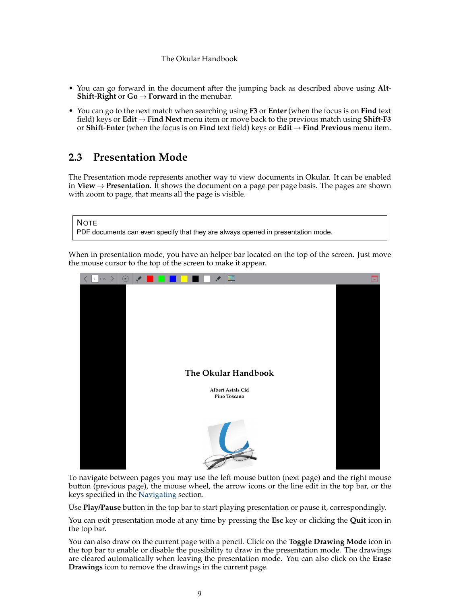- You can go forward in the document after the jumping back as described above using **Alt**-**Shift-Right** or  $Go \rightarrow Forward$  in the menubar.
- You can go to the next match when searching using **F3** or **Enter** (when the focus is on **Find** text field) keys or **Edit** → **Find Next** menu item or move back to the previous match using **Shift**-**F3** or **Shift**-**Enter** (when the focus is on **Find** text field) keys or **Edit** → **Find Previous** menu item.

# <span id="page-8-0"></span>**2.3 Presentation Mode**

<span id="page-8-1"></span>The Presentation mode represents another way to view documents in Okular. It can be enabled in **View** → **Presentation**. It shows the document on a page per page basis. The pages are shown with zoom to page, that means all the page is visible.

| <b>NOTE</b>                                                                      |  |
|----------------------------------------------------------------------------------|--|
| PDF documents can even specify that they are always opened in presentation mode. |  |

When in presentation mode, you have an helper bar located on the top of the screen. Just move the mouse cursor to the top of the screen to make it appear.



To navigate between pages you may use the left mouse button (next page) and the right mouse button (previous page), the mouse wheel, the arrow icons or the line edit in the top bar, or the keys specified in the [Navigating](#page-6-3) section.

Use **Play/Pause** button in the top bar to start playing presentation or pause it, correspondingly.

You can exit presentation mode at any time by pressing the **Esc** key or clicking the **Quit** icon in the top bar.

You can also draw on the current page with a pencil. Click on the **Toggle Drawing Mode** icon in the top bar to enable or disable the possibility to draw in the presentation mode. The drawings are cleared automatically when leaving the presentation mode. You can also click on the **Erase Drawings** icon to remove the drawings in the current page.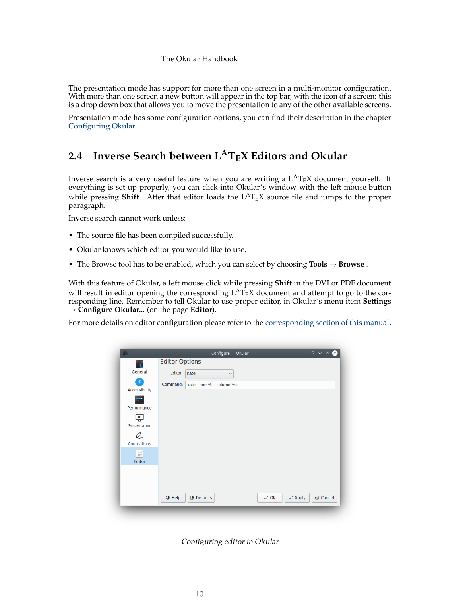The presentation mode has support for more than one screen in a multi-monitor configuration. With more than one screen a new button will appear in the top bar, with the icon of a screen: this is a drop down box that allows you to move the presentation to any of the other available screens.

Presentation mode has some configuration options, you can find their description in the chapter [Configuring Okular.](#page-38-2)

# <span id="page-9-0"></span>**2.4 Inverse Search between LATEX Editors and Okular**

Inverse search is a very useful feature when you are writing a  $L^{AT}$ <sub>E</sub>X document yourself. If everything is set up properly, you can click into Okular's window with the left mouse button while pressing **Shift**. After that editor loads the  $L^{AT}E^X$  source file and jumps to the proper paragraph.

Inverse search cannot work unless:

- The source file has been compiled successfully.
- Okular knows which editor you would like to use.
- The Browse tool has to be enabled, which you can select by choosing **Tools** → **Browse** .

With this feature of Okular, a left mouse click while pressing **Shift** in the DVI or PDF document will result in editor opening the corresponding  $L^{A}T_{E}X$  document and attempt to go to the corresponding line. Remember to tell Okular to use proper editor, in Okular's menu item **Settings** → **Configure Okular...** (on the page **Editor**).

For more details on editor configuration please refer to the [corresponding section of this manual.](#page-41-1)

| ۰7                             | Configure - Okular                             | $? \vee$                             |
|--------------------------------|------------------------------------------------|--------------------------------------|
| ' C                            | <b>Editor Options</b>                          |                                      |
| General                        | Editor: Kate<br>$\checkmark$                   |                                      |
| $\mathcal{L}$<br>Accessibility | Command: kate -- line %I -- column %c          |                                      |
| 로<br>Performance               |                                                |                                      |
| 덮<br>Presentation              |                                                |                                      |
| Q<br><b>Annotations</b>        |                                                |                                      |
| P<br>Editor                    |                                                |                                      |
|                                |                                                |                                      |
|                                | <b>B</b> Defaults<br>母 Help<br>$\checkmark$ OK | $\odot$ Cancel<br>$\checkmark$ Apply |

Configuring editor in Okular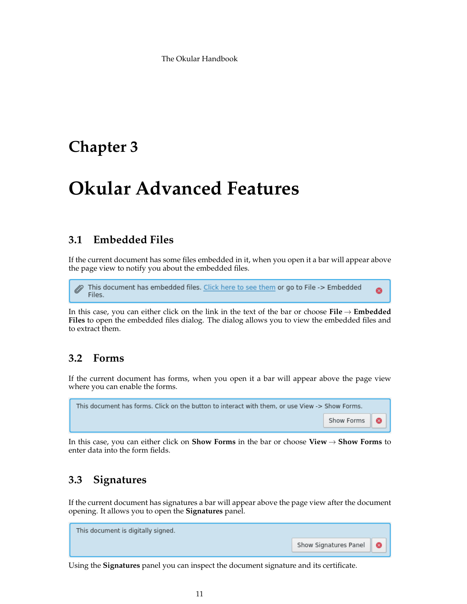# <span id="page-10-0"></span>**Chapter 3**

# **Okular Advanced Features**

# <span id="page-10-1"></span>**3.1 Embedded Files**

<span id="page-10-4"></span>If the current document has some files embedded in it, when you open it a bar will appear above the page view to notify you about the embedded files.

This document has embedded files. Click here to see them or go to File -> Embedded Ø Files.

In this case, you can either click on the link in the text of the bar or choose **File** → **Embedded Files** to open the embedded files dialog. The dialog allows you to view the embedded files and to extract them.

# <span id="page-10-2"></span>**3.2 Forms**

If the current document has forms, when you open it a bar will appear above the page view where you can enable the forms.

| This document has forms. Click on the button to interact with them, or use View -> Show Forms. |                       |
|------------------------------------------------------------------------------------------------|-----------------------|
|                                                                                                | Show Forms   <b>@</b> |

In this case, you can either click on **Show Forms** in the bar or choose **View** → **Show Forms** to enter data into the form fields.

# <span id="page-10-3"></span>**3.3 Signatures**

If the current document has signatures a bar will appear above the page view after the document opening. It allows you to open the **Signatures** panel.

This document is digitally signed. Show Signatures Panel ◎

Using the **Signatures** panel you can inspect the document signature and its certificate.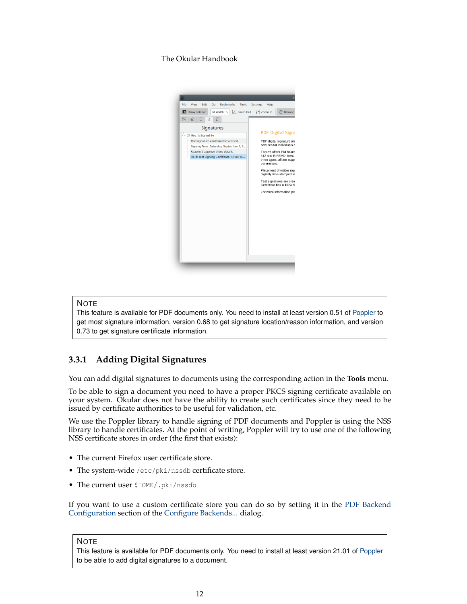

### **NOTE**

This feature is available for PDF documents only. You need to install at least version 0.51 of [Poppler](https://poppler.freedesktop.org/) to get most signature information, version 0.68 to get signature location/reason information, and version 0.73 to get signature certificate information.

## <span id="page-11-0"></span>**3.3.1 Adding Digital Signatures**

<span id="page-11-1"></span>You can add digital signatures to documents using the corresponding action in the **Tools** menu.

To be able to sign a document you need to have a proper PKCS signing certificate available on your system. Okular does not have the ability to create such certificates since they need to be issued by certificate authorities to be useful for validation, etc.

We use the Poppler library to handle signing of PDF documents and Poppler is using the NSS library to handle certificates. At the point of writing, Poppler will try to use one of the following NSS certificate stores in order (the first that exists):

- The current Firefox user certificate store.
- The system-wide /etc/pki/nssdb certificate store.
- The current user \$HOME/.pki/nssdb

If you want to use a custom certificate store you can do so by setting it in the [PDF Backend](#page-34-1) [Configuration](#page-34-1) section of the [Configure Backends...](#page-31-2) dialog.

#### **NOTE**

This feature is available for PDF documents only. You need to install at least version 21.01 of [Poppler](https://poppler.freedesktop.org/) to be able to add digital signatures to a document.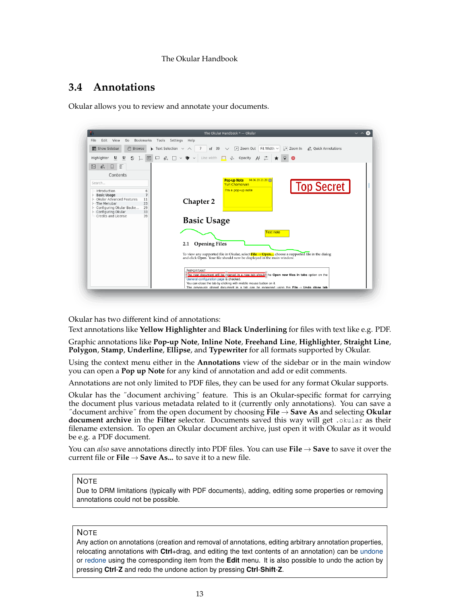# <span id="page-12-0"></span>**3.4 Annotations**

<span id="page-12-1"></span>Okular allows you to review and annotate your documents.

|                                                                                                                                                                                                                                        | The Okular Handbook * - Okular<br>$\vee$ $\wedge$                                                                                                                                                                                                                                                                                      |  |  |
|----------------------------------------------------------------------------------------------------------------------------------------------------------------------------------------------------------------------------------------|----------------------------------------------------------------------------------------------------------------------------------------------------------------------------------------------------------------------------------------------------------------------------------------------------------------------------------------|--|--|
| Bookmarks<br>Edit<br>View<br>File<br>Go                                                                                                                                                                                                | Tools<br>Settings<br>Help                                                                                                                                                                                                                                                                                                              |  |  |
| $\mathbb{R}^n$<br>Show Sidebar<br>Browse                                                                                                                                                                                               | $\blacktriangleright$ Text Selection $\blacktriangleright$ $\land$<br>7<br>of 39 $\vee$ M Zoom Out Fit Width $\vee$ M Zoom In $\oslash$ Quick Annotations                                                                                                                                                                              |  |  |
| Highlighter<br>$u$<br>$u$                                                                                                                                                                                                              | S L $\Box$ ロ $\triangle$ ロ v ♥ v Line width ロ ぷ Opacity $A: \doteq$ ★<br>$\bullet$                                                                                                                                                                                                                                                     |  |  |
| Ξ<br>$\mathbb{Z}$<br>Q,<br>口                                                                                                                                                                                                           |                                                                                                                                                                                                                                                                                                                                        |  |  |
| Contents                                                                                                                                                                                                                               |                                                                                                                                                                                                                                                                                                                                        |  |  |
| Search<br>Introduction<br>6<br>$\overline{7}$<br>> Basic Usage<br>> - Okular Advanced Features<br>11<br>23<br>$>$ - The Menubar<br>> - Configuring Okular Backe<br>29                                                                  | 04.06.20 21:20<br><b>Pop-up Note</b><br><b>Top Secret</b><br>Yuri Chornoivan<br>I'm a pop-up note<br>Chapter 2                                                                                                                                                                                                                         |  |  |
| > - Configuring Okular<br>33<br>Credits and License<br>39                                                                                                                                                                              | <b>Basic Usage</b><br><b>Text note</b>                                                                                                                                                                                                                                                                                                 |  |  |
| <b>Opening Files</b><br>2.1<br>To view any supported file in Okular, select <b>File <math>\rightarrow</math> Open</b> , choose a supported file in the dialog<br>and click Open. Your file should now be displayed in the main window. |                                                                                                                                                                                                                                                                                                                                        |  |  |
|                                                                                                                                                                                                                                        | <b>IMPORTANT</b><br>The new document will be opened in a new tab should the Open new files in tabs option on the<br>General configuration page is checked.<br>You can close the tab by clicking with middle mouse button on it.<br>The previously closed document in a tab can be reopened using the File $\rightarrow$ Undo close tab |  |  |

Okular has two different kind of annotations:

Text annotations like **Yellow Highlighter** and **Black Underlining** for files with text like e.g. PDF.

Graphic annotations like **Pop-up Note**, **Inline Note**, **Freehand Line**, **Highlighter**, **Straight Line**, **Polygon**, **Stamp**, **Underline**, **Ellipse**, and **Typewriter** for all formats supported by Okular.

Using the context menu either in the **Annotations** view of the sidebar or in the main window you can open a **Pop up Note** for any kind of annotation and add or edit comments.

Annotations are not only limited to PDF files, they can be used for any format Okular supports.

Okular has the ˝document archiving˝ feature. This is an Okular-specific format for carrying the document plus various metadata related to it (currently only annotations). You can save a ˝document archive˝ from the open document by choosing **File** → **Save As** and selecting **Okular document archive** in the **Filter** selector. Documents saved this way will get .okular as their filename extension. To open an Okular document archive, just open it with Okular as it would be e.g. a PDF document.

You can *also* save annotations directly into PDF files. You can use **File** → **Save** to save it over the current file or **File**  $\rightarrow$  **Save As...** to save it to a new file.

### **NOTE**

Due to DRM limitations (typically with PDF documents), adding, editing some properties or removing annotations could not be possible.

### **NOTE**

Any action on annotations (creation and removal of annotations, editing arbitrary annotation properties, relocating annotations with **Ctrl**+drag, and editing the text contents of an annotation) can be [undone](#page-26-1) or [redone](#page-27-1) using the corresponding item from the **Edit** menu. It is also possible to undo the action by pressing **Ctrl**-**Z** and redo the undone action by pressing **Ctrl**-**Shift**-**Z**.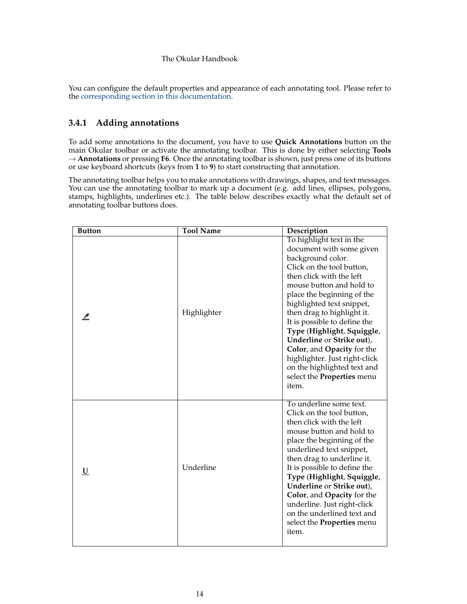You can configure the default properties and appearance of each annotating tool. Please refer to the [corresponding section in this documentation.](#page-40-1)

## <span id="page-13-0"></span>**3.4.1 Adding annotations**

<span id="page-13-1"></span>To add some annotations to the document, you have to use **Quick Annotations** button on the main Okular toolbar or activate the annotating toolbar. This is done by either selecting **Tools** → **Annotations** or pressing **F6**. Once the annotating toolbar is shown, just press one of its buttons or use keyboard shortcuts (keys from **1** to **9**) to start constructing that annotation.

The annotating toolbar helps you to make annotations with drawings, shapes, and text messages. You can use the annotating toolbar to mark up a document (e.g. add lines, ellipses, polygons, stamps, highlights, underlines etc.). The table below describes exactly what the default set of annotating toolbar buttons does.

| <b>Button</b> | <b>Tool Name</b> | Description                                                                                                                                                                                                                                                                                                                                                                                                                                                                             |
|---------------|------------------|-----------------------------------------------------------------------------------------------------------------------------------------------------------------------------------------------------------------------------------------------------------------------------------------------------------------------------------------------------------------------------------------------------------------------------------------------------------------------------------------|
|               | Highlighter      | To highlight text in the<br>document with some given<br>background color.<br>Click on the tool button,<br>then click with the left<br>mouse button and hold to<br>place the beginning of the<br>highlighted text snippet,<br>then drag to highlight it.<br>It is possible to define the<br>Type (Highlight, Squiggle,<br>Underline or Strike out),<br>Color, and Opacity for the<br>highlighter. Just right-click<br>on the highlighted text and<br>select the Properties menu<br>item. |
| <u>U</u>      | Underline        | To underline some text.<br>Click on the tool button,<br>then click with the left<br>mouse button and hold to<br>place the beginning of the<br>underlined text snippet,<br>then drag to underline it.<br>It is possible to define the<br>Type (Highlight, Squiggle,<br>Underline or Strike out),<br>Color, and Opacity for the<br>underline. Just right-click<br>on the underlined text and<br>select the Properties menu<br>item.                                                       |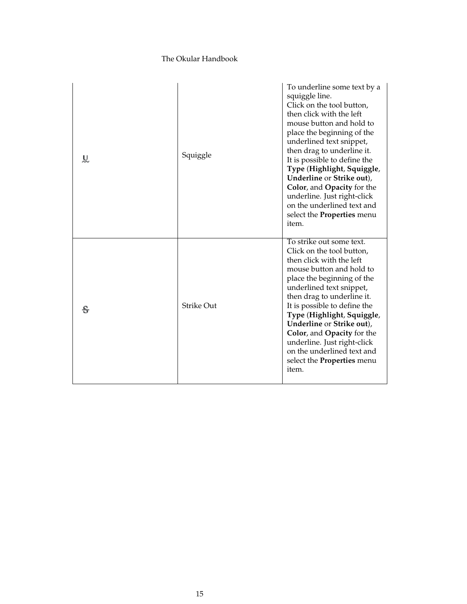| ৼ | Squiggle          | To underline some text by a<br>squiggle line.<br>Click on the tool button,<br>then click with the left<br>mouse button and hold to<br>place the beginning of the<br>underlined text snippet,<br>then drag to underline it.<br>It is possible to define the<br>Type (Highlight, Squiggle,<br>Underline or Strike out),<br>Color, and Opacity for the<br>underline. Just right-click<br>on the underlined text and<br>select the Properties menu<br>item. |
|---|-------------------|---------------------------------------------------------------------------------------------------------------------------------------------------------------------------------------------------------------------------------------------------------------------------------------------------------------------------------------------------------------------------------------------------------------------------------------------------------|
|   | <b>Strike Out</b> | To strike out some text.<br>Click on the tool button,<br>then click with the left<br>mouse button and hold to<br>place the beginning of the<br>underlined text snippet,<br>then drag to underline it.<br>It is possible to define the<br>Type (Highlight, Squiggle,<br>Underline or Strike out),<br>Color, and Opacity for the<br>underline. Just right-click<br>on the underlined text and<br>select the Properties menu<br>item.                      |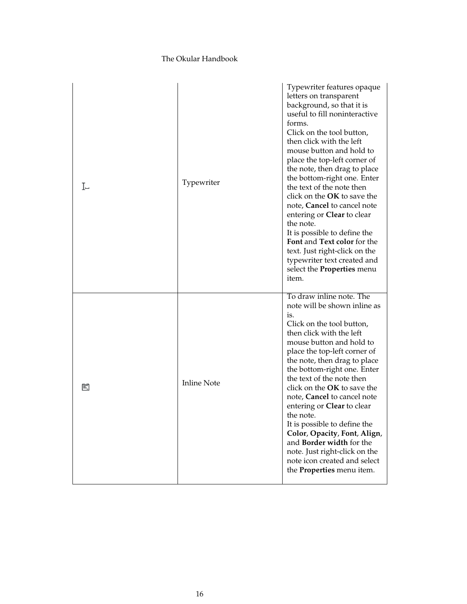| I− | Typewriter         | Typewriter features opaque<br>letters on transparent<br>background, so that it is<br>useful to fill noninteractive<br>forms.<br>Click on the tool button,<br>then click with the left<br>mouse button and hold to<br>place the top-left corner of<br>the note, then drag to place<br>the bottom-right one. Enter<br>the text of the note then<br>click on the OK to save the<br>note, Cancel to cancel note<br>entering or <b>Clear</b> to clear<br>the note.<br>It is possible to define the<br>Font and Text color for the<br>text. Just right-click on the<br>typewriter text created and<br>select the <b>Properties</b> menu<br>item. |
|----|--------------------|--------------------------------------------------------------------------------------------------------------------------------------------------------------------------------------------------------------------------------------------------------------------------------------------------------------------------------------------------------------------------------------------------------------------------------------------------------------------------------------------------------------------------------------------------------------------------------------------------------------------------------------------|
| 冃  | <b>Inline Note</b> | To draw inline note. The<br>note will be shown inline as<br>is.<br>Click on the tool button,<br>then click with the left<br>mouse button and hold to<br>place the top-left corner of<br>the note, then drag to place<br>the bottom-right one. Enter<br>the text of the note then<br>click on the OK to save the<br>note, Cancel to cancel note<br>entering or Clear to clear<br>the note.<br>It is possible to define the<br>Color, Opacity, Font, Align,<br>and Border width for the<br>note. Just right-click on the<br>note icon created and select<br>the Properties menu item.                                                        |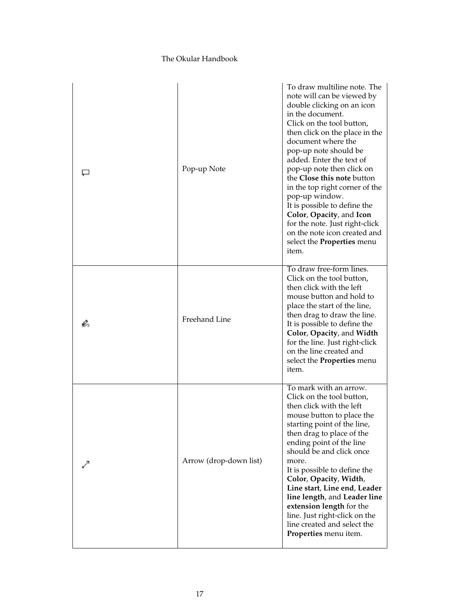|    | Pop-up Note            | To draw multiline note. The<br>note will can be viewed by<br>double clicking on an icon<br>in the document.<br>Click on the tool button,<br>then click on the place in the<br>document where the<br>pop-up note should be<br>added. Enter the text of<br>pop-up note then click on<br>the Close this note button<br>in the top right corner of the<br>pop-up window.<br>It is possible to define the<br>Color, Opacity, and Icon<br>for the note. Just right-click<br>on the note icon created and<br>select the <b>Properties</b> menu<br>item. |
|----|------------------------|--------------------------------------------------------------------------------------------------------------------------------------------------------------------------------------------------------------------------------------------------------------------------------------------------------------------------------------------------------------------------------------------------------------------------------------------------------------------------------------------------------------------------------------------------|
| e, | Freehand Line          | To draw free-form lines.<br>Click on the tool button,<br>then click with the left<br>mouse button and hold to<br>place the start of the line,<br>then drag to draw the line.<br>It is possible to define the<br>Color, Opacity, and Width<br>for the line. Just right-click<br>on the line created and<br>select the <b>Properties</b> menu<br>item.                                                                                                                                                                                             |
|    | Arrow (drop-down list) | To mark with an arrow.<br>Click on the tool button,<br>then click with the left<br>mouse button to place the<br>starting point of the line,<br>then drag to place of the<br>ending point of the line<br>should be and click once<br>more.<br>It is possible to define the<br>Color, Opacity, Width,<br>Line start, Line end, Leader<br>line length, and Leader line<br>extension length for the<br>line. Just right-click on the<br>line created and select the<br>Properties menu item.                                                         |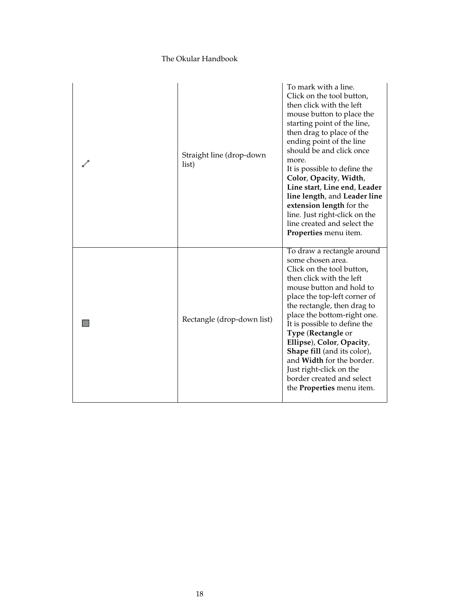| Straight line (drop-down<br>list) | To mark with a line.<br>Click on the tool button,<br>then click with the left<br>mouse button to place the<br>starting point of the line,<br>then drag to place of the<br>ending point of the line<br>should be and click once<br>more.<br>It is possible to define the<br>Color, Opacity, Width,<br>Line start, Line end, Leader<br>line length, and Leader line<br>extension length for the<br>line. Just right-click on the<br>line created and select the<br>Properties menu item. |
|-----------------------------------|----------------------------------------------------------------------------------------------------------------------------------------------------------------------------------------------------------------------------------------------------------------------------------------------------------------------------------------------------------------------------------------------------------------------------------------------------------------------------------------|
| Rectangle (drop-down list)        | To draw a rectangle around<br>some chosen area.<br>Click on the tool button,<br>then click with the left<br>mouse button and hold to<br>place the top-left corner of<br>the rectangle, then drag to<br>place the bottom-right one.<br>It is possible to define the<br>Type (Rectangle or<br>Ellipse), Color, Opacity,<br>Shape fill (and its color),<br>and <b>Width</b> for the border.<br>Just right-click on the<br>border created and select<br>the <b>Properties</b> menu item.   |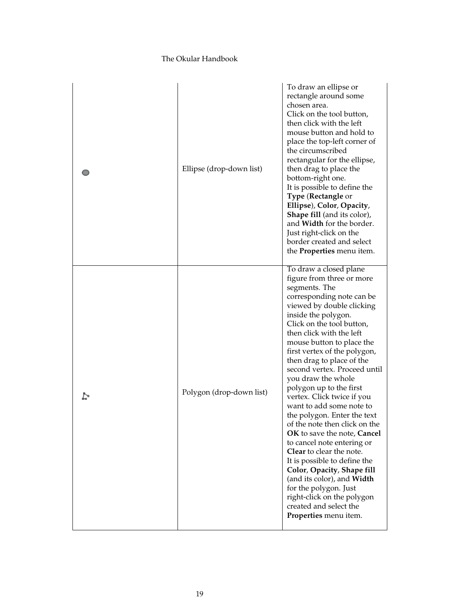| Ellipse (drop-down list) | To draw an ellipse or<br>rectangle around some<br>chosen area.<br>Click on the tool button,<br>then click with the left<br>mouse button and hold to<br>place the top-left corner of<br>the circumscribed<br>rectangular for the ellipse,<br>then drag to place the<br>bottom-right one.<br>It is possible to define the<br>Type (Rectangle or<br>Ellipse), Color, Opacity,<br><b>Shape fill</b> (and its color),<br>and Width for the border.<br>Just right-click on the<br>border created and select<br>the <b>Properties</b> menu item.                                                                                                                                                                                                                                                                                 |
|--------------------------|---------------------------------------------------------------------------------------------------------------------------------------------------------------------------------------------------------------------------------------------------------------------------------------------------------------------------------------------------------------------------------------------------------------------------------------------------------------------------------------------------------------------------------------------------------------------------------------------------------------------------------------------------------------------------------------------------------------------------------------------------------------------------------------------------------------------------|
| Polygon (drop-down list) | To draw a closed plane<br>figure from three or more<br>segments. The<br>corresponding note can be<br>viewed by double clicking<br>inside the polygon.<br>Click on the tool button,<br>then click with the left<br>mouse button to place the<br>first vertex of the polygon,<br>then drag to place of the<br>second vertex. Proceed until<br>you draw the whole<br>polygon up to the first<br>vertex. Click twice if you<br>want to add some note to<br>the polygon. Enter the text<br>of the note then click on the<br>OK to save the note, Cancel<br>to cancel note entering or<br><b>Clear</b> to clear the note.<br>It is possible to define the<br>Color, Opacity, Shape fill<br>(and its color), and Width<br>for the polygon. Just<br>right-click on the polygon<br>created and select the<br>Properties menu item. |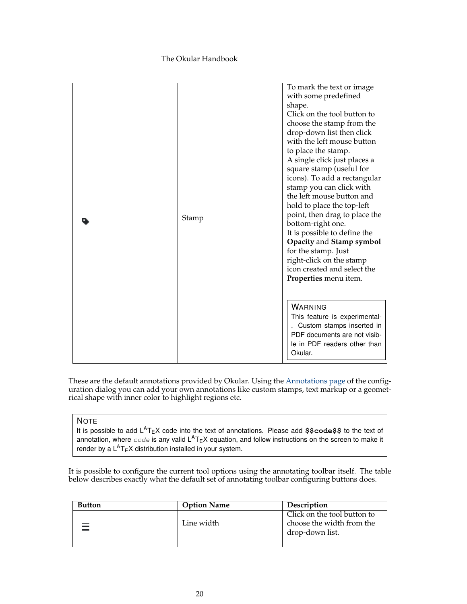| Stamp | To mark the text or image<br>with some predefined<br>shape.<br>Click on the tool button to<br>choose the stamp from the<br>drop-down list then click<br>with the left mouse button<br>to place the stamp.<br>A single click just places a<br>square stamp (useful for<br>icons). To add a rectangular<br>stamp you can click with<br>the left mouse button and<br>hold to place the top-left<br>point, then drag to place the<br>bottom-right one.<br>It is possible to define the<br>Opacity and Stamp symbol<br>for the stamp. Just<br>right-click on the stamp<br>icon created and select the<br>Properties menu item. |
|-------|---------------------------------------------------------------------------------------------------------------------------------------------------------------------------------------------------------------------------------------------------------------------------------------------------------------------------------------------------------------------------------------------------------------------------------------------------------------------------------------------------------------------------------------------------------------------------------------------------------------------------|
|       | <b>WARNING</b><br>This feature is experimental-<br>. Custom stamps inserted in<br>PDF documents are not visib-<br>le in PDF readers other than<br>Okular.                                                                                                                                                                                                                                                                                                                                                                                                                                                                 |

These are the default annotations provided by Okular. Using the [Annotations page](#page-40-1) of the configuration dialog you can add your own annotations like custom stamps, text markup or a geometrical shape with inner color to highlight regions etc.

### **NOTE**

It is possible to add L<sup>A</sup>T<sub>E</sub>X code into the text of annotations. Please add \$\$code\$\$ to the text of annotation, where  $\it code$  is any valid  $\sf L^AT_EX$  equation, and follow instructions on the screen to make it render by a  $L^AT$ <sub>E</sub>X distribution installed in your system.

It is possible to configure the current tool options using the annotating toolbar itself. The table below describes exactly what the default set of annotating toolbar configuring buttons does.

| <b>Button</b> | <b>Option Name</b> | <b>Description</b>          |
|---------------|--------------------|-----------------------------|
|               |                    | Click on the tool button to |
|               | Line width         | choose the width from the   |
|               |                    | drop-down list.             |
|               |                    |                             |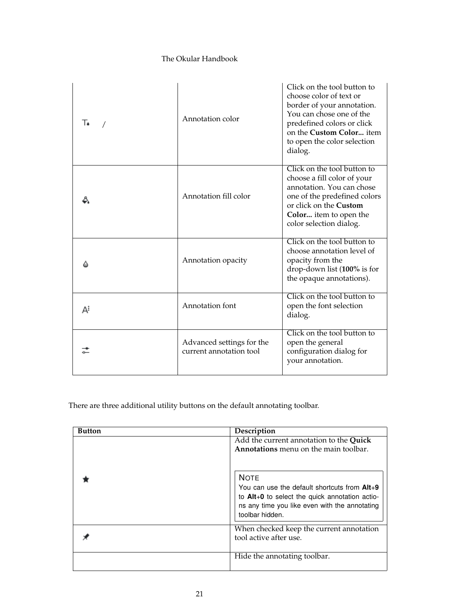| T. | Annotation color                                     | Click on the tool button to<br>choose color of text or<br>border of your annotation.<br>You can chose one of the<br>predefined colors or click<br>on the Custom Color item<br>to open the color selection<br>dialog. |
|----|------------------------------------------------------|----------------------------------------------------------------------------------------------------------------------------------------------------------------------------------------------------------------------|
|    | Annotation fill color                                | Click on the tool button to<br>choose a fill color of your<br>annotation. You can chose<br>one of the predefined colors<br>or click on the <b>Custom</b><br>Color item to open the<br>color selection dialog.        |
|    | Annotation opacity                                   | Click on the tool button to<br>choose annotation level of<br>opacity from the<br>drop-down list (100% is for<br>the opaque annotations).                                                                             |
| A  | Annotation font                                      | Click on the tool button to<br>open the font selection<br>dialog.                                                                                                                                                    |
|    | Advanced settings for the<br>current annotation tool | Click on the tool button to<br>open the general<br>configuration dialog for<br>your annotation.                                                                                                                      |

There are three additional utility buttons on the default annotating toolbar.

| Button | Description                                                                                                                                                                       |
|--------|-----------------------------------------------------------------------------------------------------------------------------------------------------------------------------------|
|        | Add the current annotation to the Quick<br>Annotations menu on the main toolbar.                                                                                                  |
|        | <b>NOTE</b><br>You can use the default shortcuts from Alt+9<br>to Alt+0 to select the quick annotation actio-<br>ns any time you like even with the annotating<br>toolbar hidden. |
|        | When checked keep the current annotation<br>tool active after use.                                                                                                                |
|        | Hide the annotating toolbar.                                                                                                                                                      |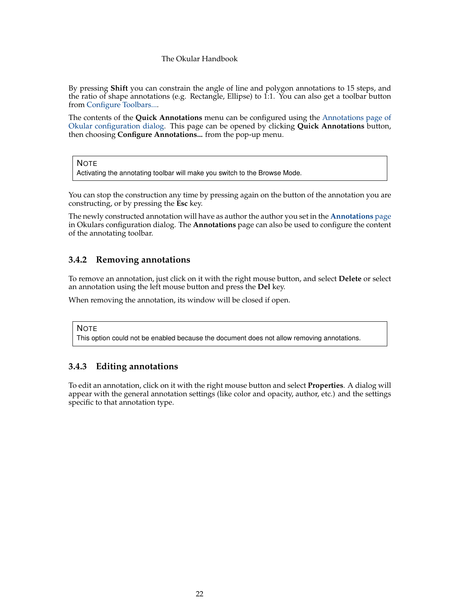By pressing **Shift** you can constrain the angle of line and polygon annotations to 15 steps, and the ratio of shape annotations (e.g. Rectangle, Ellipse) to 1:1. You can also get a toolbar button from [Configure Toolbars....](help:/fundamentals/config.html#toolbars)

The contents of the **Quick Annotations** menu can be configured using the [Annotations page of](#page-40-1) [Okular configuration dialog.](#page-40-1) This page can be opened by clicking **Quick Annotations** button, then choosing **Configure Annotations...** from the pop-up menu.

**NOTE** 

Activating the annotating toolbar will make you switch to the Browse Mode.

You can stop the construction any time by pressing again on the button of the annotation you are constructing, or by pressing the **Esc** key.

The newly constructed annotation will have as author the author you set in the **[Annotations](#page-40-1)** page in Okulars configuration dialog. The **Annotations** page can also be used to configure the content of the annotating toolbar.

## <span id="page-21-0"></span>**3.4.2 Removing annotations**

To remove an annotation, just click on it with the right mouse button, and select **Delete** or select an annotation using the left mouse button and press the **Del** key.

When removing the annotation, its window will be closed if open.

**NOTE** 

This option could not be enabled because the document does not allow removing annotations.

## <span id="page-21-1"></span>**3.4.3 Editing annotations**

To edit an annotation, click on it with the right mouse button and select **Properties**. A dialog will appear with the general annotation settings (like color and opacity, author, etc.) and the settings specific to that annotation type.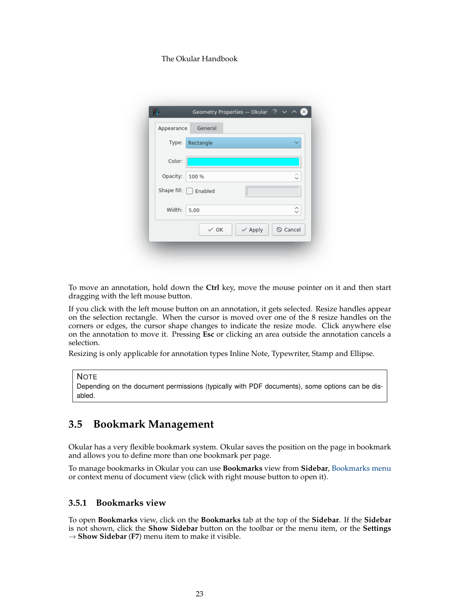| Appearance | General                    |                    |                |
|------------|----------------------------|--------------------|----------------|
| Type:      | Rectangle                  |                    |                |
| Color:     |                            |                    |                |
| Opacity:   | 100 %                      |                    | ୃ              |
|            | Shape fill: $\Box$ Enabled |                    |                |
| Width:     | 5,00                       |                    | ≎              |
|            | $\vee$ OK                  | $\checkmark$ Apply | $\odot$ Cancel |

To move an annotation, hold down the **Ctrl** key, move the mouse pointer on it and then start dragging with the left mouse button.

If you click with the left mouse button on an annotation, it gets selected. Resize handles appear on the selection rectangle. When the cursor is moved over one of the 8 resize handles on the corners or edges, the cursor shape changes to indicate the resize mode. Click anywhere else on the annotation to move it. Pressing **Esc** or clicking an area outside the annotation cancels a selection.

Resizing is only applicable for annotation types Inline Note, Typewriter, Stamp and Ellipse.

#### **NOTE**

Depending on the document permissions (typically with PDF documents), some options can be disabled.

# <span id="page-22-0"></span>**3.5 Bookmark Management**

Okular has a very flexible bookmark system. Okular saves the position on the page in bookmark and allows you to define more than one bookmark per page.

To manage bookmarks in Okular you can use **Bookmarks** view from **Sidebar**, [Bookmarks menu](#page-29-3) or context menu of document view (click with right mouse button to open it).

## <span id="page-22-1"></span>**3.5.1 Bookmarks view**

To open **Bookmarks** view, click on the **Bookmarks** tab at the top of the **Sidebar**. If the **Sidebar** is not shown, click the **Show Sidebar** button on the toolbar or the menu item, or the **Settings**  $\rightarrow$  **Show Sidebar** (**F7**) menu item to make it visible.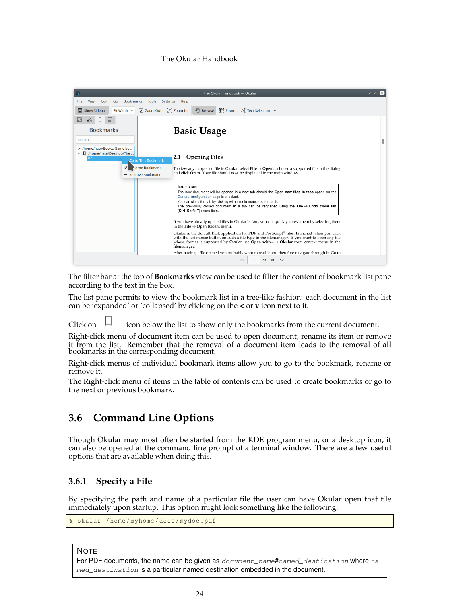

The filter bar at the top of **Bookmarks** view can be used to filter the content of bookmark list pane according to the text in the box.

The list pane permits to view the bookmark list in a tree-like fashion: each document in the list can be 'expanded' or 'collapsed' by clicking on the **<** or **v** icon next to it.

Click on  $\Box$  icon below the list to show only the bookmarks from the current document.

Right-click menu of document item can be used to open document, rename its item or remove it from the list. Remember that the removal of a document item leads to the removal of all bookmarks in the corresponding document.

Right-click menus of individual bookmark items allow you to go to the bookmark, rename or remove it.

The Right-click menu of items in the table of contents can be used to create bookmarks or go to the next or previous bookmark.

# <span id="page-23-0"></span>**3.6 Command Line Options**

Though Okular may most often be started from the KDE program menu, or a desktop icon, it can also be opened at the command line prompt of a terminal window. There are a few useful options that are available when doing this.

## <span id="page-23-1"></span>**3.6.1 Specify a File**

By specifying the path and name of a particular file the user can have Okular open that file immediately upon startup. This option might look something like the following:

```
okular /home/myhome/docs/mydoc.pdf
```
**NOTE** 

For PDF documents, the name can be given as document\_name#named\_destination where named\_destination is a particular named destination embedded in the document.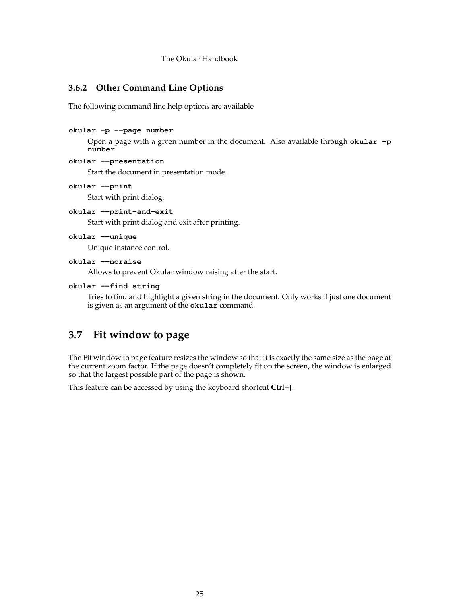## <span id="page-24-0"></span>**3.6.2 Other Command Line Options**

The following command line help options are available

## **okular -p --page number**

Open a page with a given number in the document. Also available through **okular -p number**

### **okular --presentation**

Start the document in presentation mode.

## **okular --print**

Start with print dialog.

#### **okular --print-and-exit**

Start with print dialog and exit after printing.

#### **okular --unique**

Unique instance control.

#### **okular --noraise**

Allows to prevent Okular window raising after the start.

#### **okular --find string**

Tries to find and highlight a given string in the document. Only works if just one document is given as an argument of the **okular** command.

# <span id="page-24-1"></span>**3.7 Fit window to page**

The Fit window to page feature resizes the window so that it is exactly the same size as the page at the current zoom factor. If the page doesn't completely fit on the screen, the window is enlarged so that the largest possible part of the page is shown.

This feature can be accessed by using the keyboard shortcut **Ctrl**+**J**.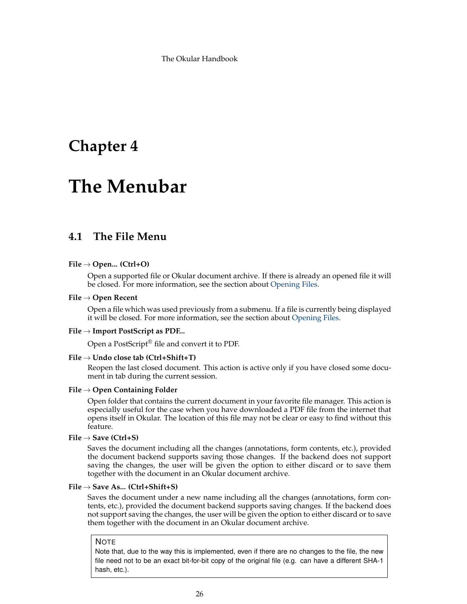# <span id="page-25-0"></span>**Chapter 4**

# **The Menubar**

# <span id="page-25-1"></span>**4.1 The File Menu**

## **File** → **Open... (Ctrl+O)**

Open a supported file or Okular document archive. If there is already an opened file it will be closed. For more information, see the section about [Opening Files.](#page-6-4)

#### **File** → **Open Recent**

Open a file which was used previously from a submenu. If a file is currently being displayed it will be closed. For more information, see the section about [Opening Files.](#page-6-4)

#### **File** → **Import PostScript as PDF...**

Open a PostScript® file and convert it to PDF.

#### **File** → **Undo close tab (Ctrl+Shift+T)**

Reopen the last closed document. This action is active only if you have closed some document in tab during the current session.

#### **File** → **Open Containing Folder**

Open folder that contains the current document in your favorite file manager. This action is especially useful for the case when you have downloaded a PDF file from the internet that opens itself in Okular. The location of this file may not be clear or easy to find without this feature.

#### **File** → **Save (Ctrl+S)**

Saves the document including all the changes (annotations, form contents, etc.), provided the document backend supports saving those changes. If the backend does not support saving the changes, the user will be given the option to either discard or to save them together with the document in an Okular document archive.

#### **File** → **Save As... (Ctrl+Shift+S)**

Saves the document under a new name including all the changes (annotations, form contents, etc.), provided the document backend supports saving changes. If the backend does not support saving the changes, the user will be given the option to either discard or to save them together with the document in an Okular document archive.

#### **NOTE**

Note that, due to the way this is implemented, even if there are no changes to the file, the new file need not to be an exact bit-for-bit copy of the original file (e.g. can have a different SHA-1 hash, etc.).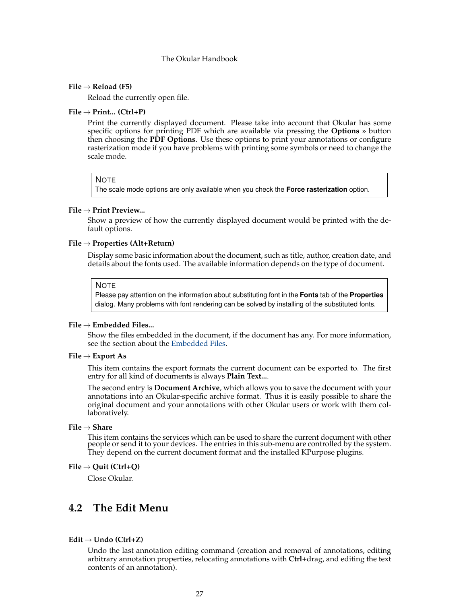#### **File** → **Reload (F5)**

Reload the currently open file.

#### **File** → **Print... (Ctrl+P)**

Print the currently displayed document. Please take into account that Okular has some specific options for printing PDF which are available via pressing the **Options »** button then choosing the **PDF Options**. Use these options to print your annotations or configure rasterization mode if you have problems with printing some symbols or need to change the scale mode.

### **NOTE**

The scale mode options are only available when you check the **Force rasterization** option.

#### **File** → **Print Preview...**

Show a preview of how the currently displayed document would be printed with the default options.

#### **File** → **Properties (Alt+Return)**

Display some basic information about the document, such as title, author, creation date, and details about the fonts used. The available information depends on the type of document.

#### **NOTE**

Please pay attention on the information about substituting font in the **Fonts** tab of the **Properties** dialog. Many problems with font rendering can be solved by installing of the substituted fonts.

#### **File** → **Embedded Files...**

Show the files embedded in the document, if the document has any. For more information, see the section about the [Embedded Files.](#page-10-4)

#### **File** → **Export As**

This item contains the export formats the current document can be exported to. The first entry for all kind of documents is always **Plain Text...**.

The second entry is **Document Archive**, which allows you to save the document with your annotations into an Okular-specific archive format. Thus it is easily possible to share the original document and your annotations with other Okular users or work with them collaboratively.

#### **File** → **Share**

This item contains the services which can be used to share the current document with other people or send it to your devices. The entries in this sub-menu are controlled by the system. They depend on the current document format and the installed KPurpose plugins.

#### **File** → **Quit (Ctrl+Q)**

Close Okular.

## <span id="page-26-0"></span>**4.2 The Edit Menu**

#### <span id="page-26-1"></span>**Edit** → **Undo (Ctrl+Z)**

Undo the last annotation editing command (creation and removal of annotations, editing arbitrary annotation properties, relocating annotations with **Ctrl**+drag, and editing the text contents of an annotation).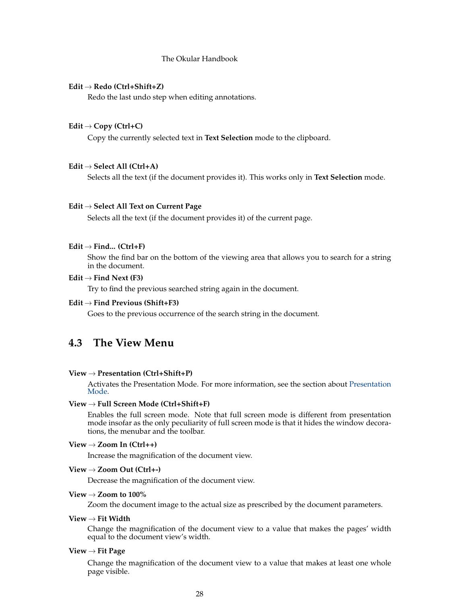#### <span id="page-27-1"></span>**Edit** → **Redo (Ctrl+Shift+Z)**

Redo the last undo step when editing annotations.

#### **Edit** → **Copy (Ctrl+C)**

Copy the currently selected text in **Text Selection** mode to the clipboard.

#### **Edit** → **Select All (Ctrl+A)**

Selects all the text (if the document provides it). This works only in **Text Selection** mode.

#### **Edit** → **Select All Text on Current Page**

Selects all the text (if the document provides it) of the current page.

#### **Edit** → **Find... (Ctrl+F)**

Show the find bar on the bottom of the viewing area that allows you to search for a string in the document.

#### $Edit \rightarrow Find Next (F3)$

Try to find the previous searched string again in the document.

#### **Edit** → **Find Previous (Shift+F3)**

Goes to the previous occurrence of the search string in the document.

# <span id="page-27-0"></span>**4.3 The View Menu**

#### **View** → **Presentation (Ctrl+Shift+P)**

Activates the Presentation Mode. For more information, see the section about [Presentation](#page-8-1) [Mode.](#page-8-1)

#### **View** → **Full Screen Mode (Ctrl+Shift+F)**

Enables the full screen mode. Note that full screen mode is different from presentation mode insofar as the only peculiarity of full screen mode is that it hides the window decorations, the menubar and the toolbar.

#### **View** → **Zoom In (Ctrl++)**

Increase the magnification of the document view.

### **View** → **Zoom Out (Ctrl+-)**

Decrease the magnification of the document view.

#### **View** → **Zoom to 100%**

Zoom the document image to the actual size as prescribed by the document parameters.

#### **View** → **Fit Width**

Change the magnification of the document view to a value that makes the pages' width equal to the document view's width.

#### **View** → **Fit Page**

Change the magnification of the document view to a value that makes at least one whole page visible.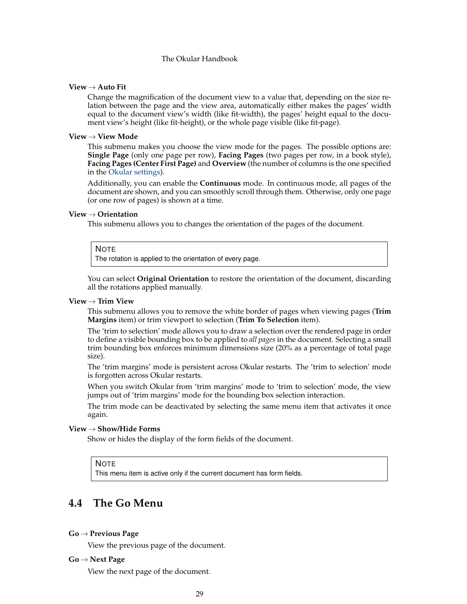#### **View** → **Auto Fit**

Change the magnification of the document view to a value that, depending on the size relation between the page and the view area, automatically either makes the pages' width equal to the document view's width (like fit-width), the pages' height equal to the document view's height (like fit-height), or the whole page visible (like fit-page).

#### **View** → **View Mode**

This submenu makes you choose the view mode for the pages. The possible options are: **Single Page** (only one page per row), **Facing Pages** (two pages per row, in a book style), **Facing Pages (Center First Page)** and **Overview** (the number of columns is the one specified in the [Okular settings\)](#page-35-1).

Additionally, you can enable the **Continuous** mode. In continuous mode, all pages of the document are shown, and you can smoothly scroll through them. Otherwise, only one page (or one row of pages) is shown at a time.

#### **View** → **Orientation**

This submenu allows you to changes the orientation of the pages of the document.

#### **NOTE**

The rotation is applied to the orientation of every page.

You can select **Original Orientation** to restore the orientation of the document, discarding all the rotations applied manually.

#### **View** → **Trim View**

This submenu allows you to remove the white border of pages when viewing pages (**Trim Margins** item) or trim viewport to selection (**Trim To Selection** item).

The 'trim to selection' mode allows you to draw a selection over the rendered page in order to define a visible bounding box to be applied to *all pages* in the document. Selecting a small trim bounding box enforces minimum dimensions size (20% as a percentage of total page size).

The 'trim margins' mode is persistent across Okular restarts. The 'trim to selection' mode is forgotten across Okular restarts.

When you switch Okular from 'trim margins' mode to 'trim to selection' mode, the view jumps out of 'trim margins' mode for the bounding box selection interaction.

The trim mode can be deactivated by selecting the same menu item that activates it once again.

#### **View** → **Show/Hide Forms**

Show or hides the display of the form fields of the document.

NOTE

This menu item is active only if the current document has form fields.

# <span id="page-28-0"></span>**4.4 The Go Menu**

#### **Go** → **Previous Page**

View the previous page of the document.

#### **Go** → **Next Page**

View the next page of the document.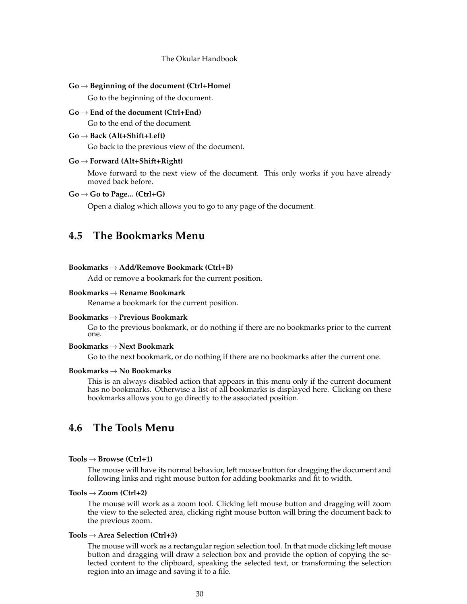#### **Go** → **Beginning of the document (Ctrl+Home)**

Go to the beginning of the document.

**Go** → **End of the document (Ctrl+End)** Go to the end of the document.

#### **Go** → **Back (Alt+Shift+Left)**

Go back to the previous view of the document.

#### **Go** → **Forward (Alt+Shift+Right)**

Move forward to the next view of the document. This only works if you have already moved back before.

#### **Go** → **Go to Page... (Ctrl+G)**

Open a dialog which allows you to go to any page of the document.

## <span id="page-29-3"></span><span id="page-29-0"></span>**4.5 The Bookmarks Menu**

#### **Bookmarks** → **Add/Remove Bookmark (Ctrl+B)**

Add or remove a bookmark for the current position.

#### **Bookmarks** → **Rename Bookmark**

Rename a bookmark for the current position.

#### **Bookmarks** → **Previous Bookmark**

Go to the previous bookmark, or do nothing if there are no bookmarks prior to the current one.

#### **Bookmarks** → **Next Bookmark**

Go to the next bookmark, or do nothing if there are no bookmarks after the current one.

#### **Bookmarks** → **No Bookmarks**

This is an always disabled action that appears in this menu only if the current document has no bookmarks. Otherwise a list of all bookmarks is displayed here. Clicking on these bookmarks allows you to go directly to the associated position.

# <span id="page-29-2"></span><span id="page-29-1"></span>**4.6 The Tools Menu**

#### **Tools** → **Browse (Ctrl+1)**

The mouse will have its normal behavior, left mouse button for dragging the document and following links and right mouse button for adding bookmarks and fit to width.

#### **Tools** → **Zoom (Ctrl+2)**

The mouse will work as a zoom tool. Clicking left mouse button and dragging will zoom the view to the selected area, clicking right mouse button will bring the document back to the previous zoom.

#### **Tools** → **Area Selection (Ctrl+3)**

The mouse will work as a rectangular region selection tool. In that mode clicking left mouse button and dragging will draw a selection box and provide the option of copying the selected content to the clipboard, speaking the selected text, or transforming the selection region into an image and saving it to a file.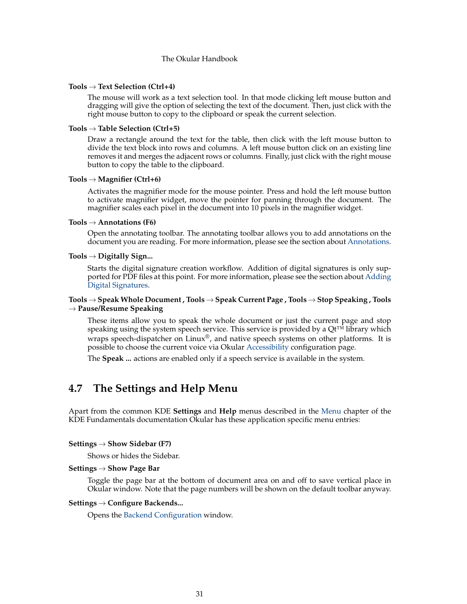#### **Tools** → **Text Selection (Ctrl+4)**

The mouse will work as a text selection tool. In that mode clicking left mouse button and dragging will give the option of selecting the text of the document. Then, just click with the right mouse button to copy to the clipboard or speak the current selection.

#### **Tools** → **Table Selection (Ctrl+5)**

Draw a rectangle around the text for the table, then click with the left mouse button to divide the text block into rows and columns. A left mouse button click on an existing line removes it and merges the adjacent rows or columns. Finally, just click with the right mouse button to copy the table to the clipboard.

#### **Tools** → **Magnifier (Ctrl+6)**

Activates the magnifier mode for the mouse pointer. Press and hold the left mouse button to activate magnifier widget, move the pointer for panning through the document. The magnifier scales each pixel in the document into 10 pixels in the magnifier widget.

#### **Tools** → **Annotations (F6)**

Open the annotating toolbar. The annotating toolbar allows you to add annotations on the document you are reading. For more information, please see the section about [Annotations.](#page-12-1)

#### **Tools** → **Digitally Sign...**

Starts the digital signature creation workflow. Addition of digital signatures is only supported for PDF files at this point. For more information, please see the section about [Adding](#page-11-1) [Digital Signatures.](#page-11-1)

#### **Tools** → **Speak Whole Document , Tools** → **Speak Current Page , Tools** → **Stop Speaking , Tools** → **Pause/Resume Speaking**

These items allow you to speak the whole document or just the current page and stop speaking using the system speech service. This service is provided by a Qt™ library which wraps speech-dispatcher on Linux®, and native speech systems on other platforms. It is possible to choose the current voice via Okular [Accessibility](#page-37-1) configuration page.

The **Speak ...** actions are enabled only if a speech service is available in the system.

## <span id="page-30-0"></span>**4.7 The Settings and Help Menu**

Apart from the common KDE **Settings** and **Help** menus described in the [Menu](help:/fundamentals/menus.html) chapter of the KDE Fundamentals documentation Okular has these application specific menu entries:

#### **Settings** → **Show Sidebar (F7)**

Shows or hides the Sidebar.

#### **Settings** → **Show Page Bar**

Toggle the page bar at the bottom of document area on and off to save vertical place in Okular window. Note that the page numbers will be shown on the default toolbar anyway.

#### **Settings** → **Configure Backends...**

Opens the [Backend Configuration](#page-31-2) window.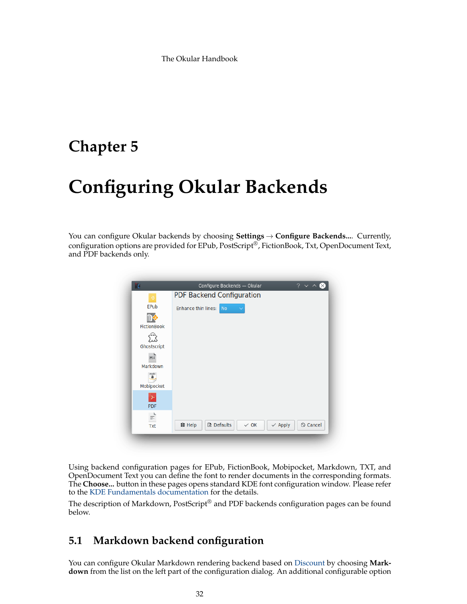# <span id="page-31-0"></span>**Chapter 5**

# **Configuring Okular Backends**

<span id="page-31-2"></span>You can configure Okular backends by choosing **Settings** → **Configure Backends...**. Currently, configuration options are provided for EPub, PostScript®, FictionBook, Txt, OpenDocument Text, and PDF backends only.

| ' C                             | Configure Backends - Okular<br>$2 \times 2$                                            |
|---------------------------------|----------------------------------------------------------------------------------------|
|                                 | PDF Backend Configuration                                                              |
| EPub                            | Enhance thin lines:<br><b>No</b>                                                       |
| <b>ibe</b>                      |                                                                                        |
| <b>FictionBook</b>              |                                                                                        |
|                                 |                                                                                        |
| Ghostscript                     |                                                                                        |
| $M +$                           |                                                                                        |
| Markdown                        |                                                                                        |
| mobi<br>$\overline{\mathbf{a}}$ |                                                                                        |
| Mobipocket                      |                                                                                        |
|                                 |                                                                                        |
| <b>PDF</b>                      |                                                                                        |
| $\equiv$                        |                                                                                        |
| Txt                             | <b>B</b> Defaults<br>$\odot$ Cancel<br>$\checkmark$ OK<br>意 Help<br>$\checkmark$ Apply |

Using backend configuration pages for EPub, FictionBook, Mobipocket, Markdown, TXT, and OpenDocument Text you can define the font to render documents in the corresponding formats. The **Choose...** button in these pages opens standard KDE font configuration window. Please refer to the [KDE Fundamentals documentation](help:/fundamentals/fonts.html) for the details.

The description of Markdown, Post $S$ cript $^{\circledR}$  and PDF backends configuration pages can be found below.

# <span id="page-31-1"></span>**5.1 Markdown backend configuration**

You can configure Okular Markdown rendering backend based on [Discount](https://www.pell.portland.or.us/~orc/Code/markdown/) by choosing **Markdown** from the list on the left part of the configuration dialog. An additional configurable option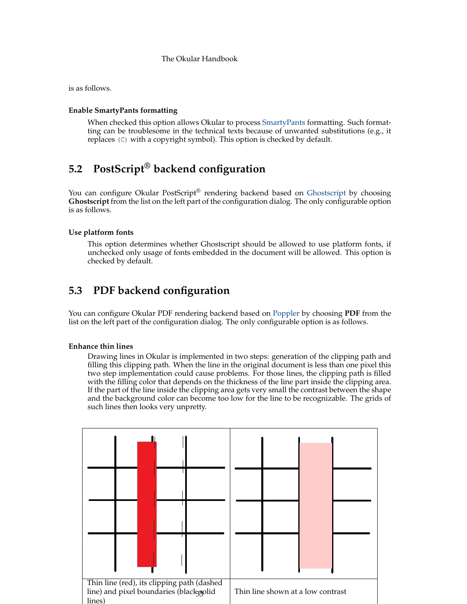is as follows.

### **Enable SmartyPants formatting**

When checked this option allows Okular to process [SmartyPants](https://daringfireball.net/projects/smartypants/) formatting. Such formatting can be troublesome in the technical texts because of unwanted substitutions (e.g., it replaces (C) with a copyright symbol). This option is checked by default.

# <span id="page-32-0"></span>**5.2 PostScript® backend configuration**

You can configure Okular PostScript® rendering backend based on [Ghostscript](https://www.ghostscript.com/) by choosing **Ghostscript** from the list on the left part of the configuration dialog. The only configurable option is as follows.

## **Use platform fonts**

This option determines whether Ghostscript should be allowed to use platform fonts, if unchecked only usage of fonts embedded in the document will be allowed. This option is checked by default.

# <span id="page-32-1"></span>**5.3 PDF backend configuration**

You can configure Okular PDF rendering backend based on [Poppler](https://poppler.freedesktop.org/) by choosing **PDF** from the list on the left part of the configuration dialog. The only configurable option is as follows.

### **Enhance thin lines**

Drawing lines in Okular is implemented in two steps: generation of the clipping path and filling this clipping path. When the line in the original document is less than one pixel this two step implementation could cause problems. For those lines, the clipping path is filled with the filling color that depends on the thickness of the line part inside the clipping area. If the part of the line inside the clipping area gets very small the contrast between the shape and the background color can become too low for the line to be recognizable. The grids of such lines then looks very unpretty.

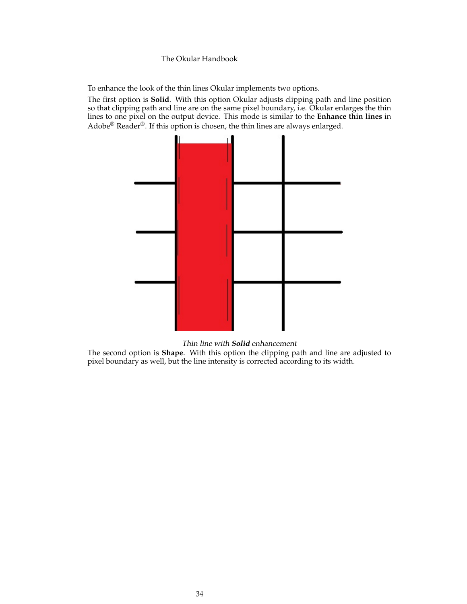To enhance the look of the thin lines Okular implements two options.

The first option is **Solid**. With this option Okular adjusts clipping path and line position so that clipping path and line are on the same pixel boundary, i.e. Okular enlarges the thin lines to one pixel on the output device. This mode is similar to the **Enhance thin lines** in Adobe<sup>®</sup> Reader<sup>®</sup>. If this option is chosen, the thin lines are always enlarged.



Thin line with **Solid** enhancement

The second option is **Shape**. With this option the clipping path and line are adjusted to pixel boundary as well, but the line intensity is corrected according to its width.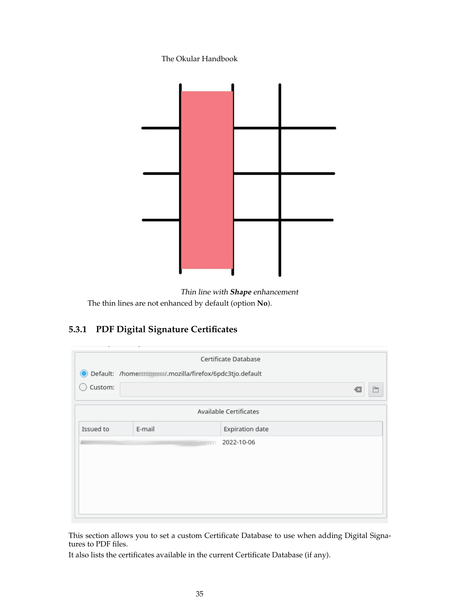

Thin line with **Shape** enhancement The thin lines are not enhanced by default (option **No**).

# <span id="page-34-0"></span>**5.3.1 PDF Digital Signature Certificates**

<span id="page-34-1"></span>

|            |        |                | Certificate Database   |   |
|------------|--------|----------------|------------------------|---|
|            |        |                |                        |   |
| Custom:    |        |                |                        | P |
|            |        |                | Available Certificates |   |
| Issued to  | E-mail |                | <b>Expiration date</b> |   |
| <b>ANY</b> |        | <b>HETTITT</b> | 2022-10-06             |   |
|            |        |                |                        |   |
|            |        |                |                        |   |
|            |        |                |                        |   |
|            |        |                |                        |   |
|            |        |                |                        |   |

This section allows you to set a custom Certificate Database to use when adding Digital Signatures to PDF files.

It also lists the certificates available in the current Certificate Database (if any).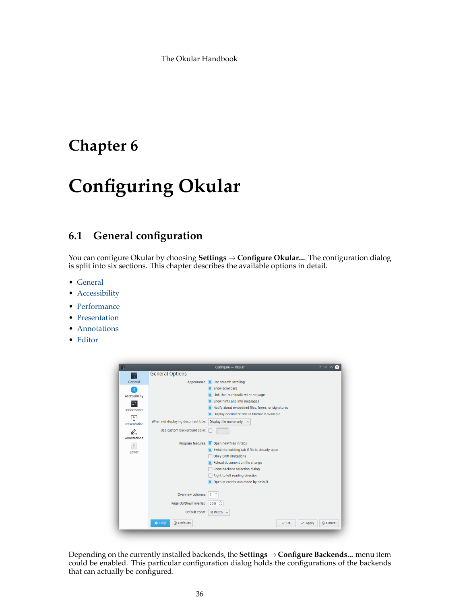# <span id="page-35-0"></span>**Chapter 6**

# **Configuring Okular**

# <span id="page-35-1"></span>**6.1 General configuration**

You can configure Okular by choosing **Settings** → **Configure Okular...**. The configuration dialog is split into six sections. This chapter describes the available options in detail.

- [General](#page-36-1)
- [Accessibility](#page-37-1)
- [Performance](#page-38-3)
- [Presentation](#page-38-2)
- [Annotations](#page-40-1)
- [Editor](#page-41-1)

|                    | Configure - Okular                                                               |
|--------------------|----------------------------------------------------------------------------------|
|                    | <b>General Options</b>                                                           |
| General            | Appearance: Use smooth scrolling                                                 |
| Ā.                 | Show scrollbars                                                                  |
| Accessibility      | Link the thumbnails with the page                                                |
|                    | Show hints and info messages                                                     |
| Performance        | Notify about embedded files, forms, or signatures                                |
| Ë                  | Display document title in titlebar if available                                  |
| Presentation       | When not displaying document title:<br>Display file name only<br>$\checkmark$    |
| Q                  | Use custom background color:                                                     |
| <b>Annotations</b> |                                                                                  |
| B                  | Program features: ■ Open new files in tabs                                       |
| Editor             | Switch to existing tab if file is already open                                   |
|                    | <b>Obey DRM limitations</b>                                                      |
|                    | Reload document on file change                                                   |
|                    | Show backend selection dialog                                                    |
|                    | Right to left reading direction                                                  |
|                    | Open in continuous mode by default                                               |
|                    | Overview columns:<br>1                                                           |
|                    | Page Up/Down overlap:<br>20%                                                     |
|                    | Default zoom: Fit Width                                                          |
|                    | <b>B</b> Defaults<br>意 Help<br>$\vee$ OK<br>$\odot$ Cancel<br>$\checkmark$ Apply |

Depending on the currently installed backends, the **Settings** → **Configure Backends...** menu item could be enabled. This particular configuration dialog holds the configurations of the backends that can actually be configured.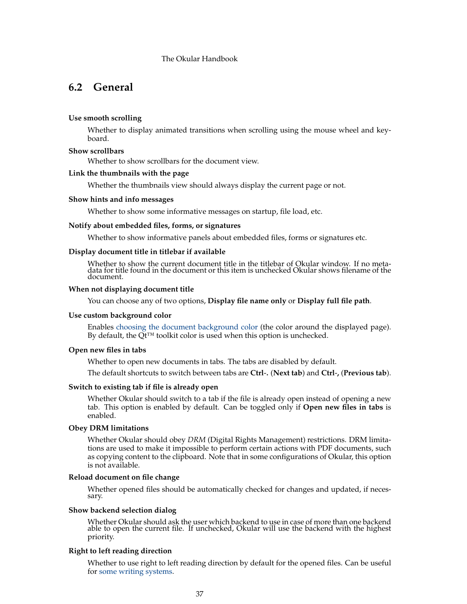# <span id="page-36-1"></span><span id="page-36-0"></span>**6.2 General**

#### **Use smooth scrolling**

Whether to display animated transitions when scrolling using the mouse wheel and keyboard.

#### **Show scrollbars**

Whether to show scrollbars for the document view.

#### **Link the thumbnails with the page**

Whether the thumbnails view should always display the current page or not.

#### **Show hints and info messages**

Whether to show some informative messages on startup, file load, etc.

#### **Notify about embedded files, forms, or signatures**

Whether to show informative panels about embedded files, forms or signatures etc.

#### **Display document title in titlebar if available**

Whether to show the current document title in the titlebar of Okular window. If no metadata for title found in the document or this item is unchecked Okular shows filename of the document.

#### **When not displaying document title**

You can choose any of two options, **Display file name only** or **Display full file path**.

#### **Use custom background color**

Enables [choosing the document background color](help:/fundamentals/colors.html) (the color around the displayed page). By default, the Qt<sup>™</sup> toolkit color is used when this option is unchecked.

#### **Open new files in tabs**

Whether to open new documents in tabs. The tabs are disabled by default.

The default shortcuts to switch between tabs are **Ctrl**-**.** (**Next tab**) and **Ctrl**-**,** (**Previous tab**).

#### **Switch to existing tab if file is already open**

Whether Okular should switch to a tab if the file is already open instead of opening a new tab. This option is enabled by default. Can be toggled only if **Open new files in tabs** is enabled.

#### **Obey DRM limitations**

Whether Okular should obey *DRM* (Digital Rights Management) restrictions. DRM limitations are used to make it impossible to perform certain actions with PDF documents, such as copying content to the clipboard. Note that in some configurations of Okular, this option is not available.

#### **Reload document on file change**

Whether opened files should be automatically checked for changes and updated, if necessary.

#### **Show backend selection dialog**

Whether Okular should ask the user which backend to use in case of more than one backend able to open the current file. If unchecked, Okular will use the backend with the highest priority.

#### **Right to left reading direction**

Whether to use right to left reading direction by default for the opened files. Can be useful for [some writing systems.](https://en.wikipedia.org/wiki/Right-to-left)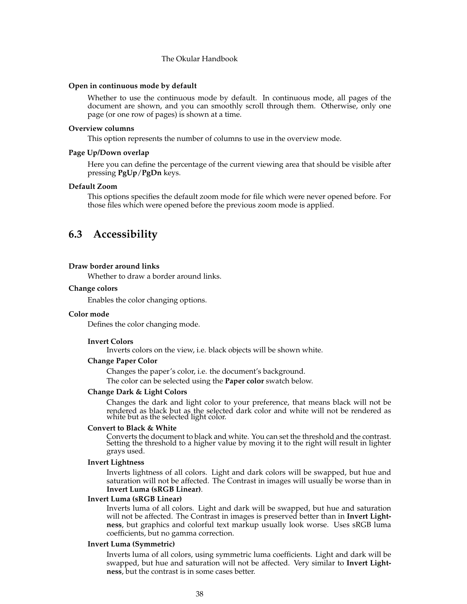#### **Open in continuous mode by default**

Whether to use the continuous mode by default. In continuous mode, all pages of the document are shown, and you can smoothly scroll through them. Otherwise, only one page (or one row of pages) is shown at a time.

#### **Overview columns**

This option represents the number of columns to use in the overview mode.

#### **Page Up/Down overlap**

Here you can define the percentage of the current viewing area that should be visible after pressing **PgUp**/**PgDn** keys.

#### **Default Zoom**

This options specifies the default zoom mode for file which were never opened before. For those files which were opened before the previous zoom mode is applied.

# <span id="page-37-0"></span>**6.3 Accessibility**

#### <span id="page-37-1"></span>**Draw border around links**

Whether to draw a border around links.

#### **Change colors**

Enables the color changing options.

#### **Color mode**

Defines the color changing mode.

#### **Invert Colors**

Inverts colors on the view, i.e. black objects will be shown white.

#### **Change Paper Color**

Changes the paper's color, i.e. the document's background. The color can be selected using the **Paper color** swatch below.

#### **Change Dark & Light Colors**

Changes the dark and light color to your preference, that means black will not be rendered as black but as the selected dark color and white will not be rendered as white but as the selected light color.

#### **Convert to Black & White**

Converts the document to black and white. You can set the threshold and the contrast. Setting the threshold to a higher value by moving it to the right will result in lighter grays used.

#### **Invert Lightness**

Inverts lightness of all colors. Light and dark colors will be swapped, but hue and saturation will not be affected. The Contrast in images will usually be worse than in **Invert Luma (sRGB Linear)**.

#### **Invert Luma (sRGB Linear)**

Inverts luma of all colors. Light and dark will be swapped, but hue and saturation will not be affected. The Contrast in images is preserved better than in **Invert Lightness**, but graphics and colorful text markup usually look worse. Uses sRGB luma coefficients, but no gamma correction.

#### **Invert Luma (Symmetric)**

Inverts luma of all colors, using symmetric luma coefficients. Light and dark will be swapped, but hue and saturation will not be affected. Very similar to **Invert Lightness**, but the contrast is in some cases better.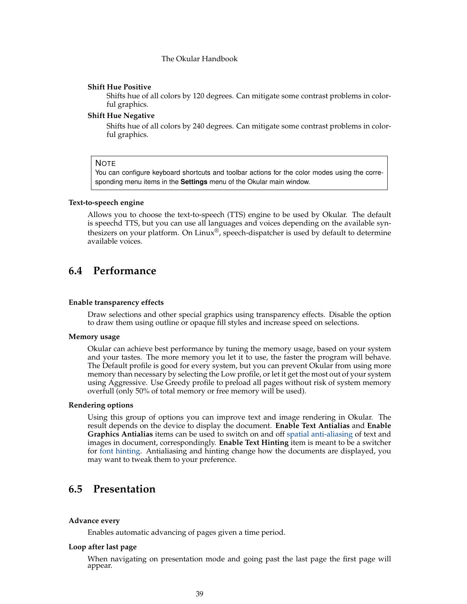#### **Shift Hue Positive**

Shifts hue of all colors by 120 degrees. Can mitigate some contrast problems in colorful graphics.

#### **Shift Hue Negative**

Shifts hue of all colors by 240 degrees. Can mitigate some contrast problems in colorful graphics.

#### **NOTE**

You can configure keyboard shortcuts and toolbar actions for the color modes using the corresponding menu items in the **Settings** menu of the Okular main window.

#### **Text-to-speech engine**

Allows you to choose the text-to-speech (TTS) engine to be used by Okular. The default is speechd TTS, but you can use all languages and voices depending on the available synthesizers on your platform. On Linux<sup>®</sup>, speech-dispatcher is used by default to determine available voices.

# <span id="page-38-0"></span>**6.4 Performance**

#### <span id="page-38-3"></span>**Enable transparency effects**

Draw selections and other special graphics using transparency effects. Disable the option to draw them using outline or opaque fill styles and increase speed on selections.

#### **Memory usage**

Okular can achieve best performance by tuning the memory usage, based on your system and your tastes. The more memory you let it to use, the faster the program will behave. The Default profile is good for every system, but you can prevent Okular from using more memory than necessary by selecting the Low profile, or let it get the most out of your system using Aggressive. Use Greedy profile to preload all pages without risk of system memory overfull (only 50% of total memory or free memory will be used).

#### **Rendering options**

Using this group of options you can improve text and image rendering in Okular. The result depends on the device to display the document. **Enable Text Antialias** and **Enable Graphics Antialias** items can be used to switch on and off [spatial anti-aliasing](https://en.wikipedia.org/wiki/Spatial_anti-aliasing) of text and images in document, correspondingly. **Enable Text Hinting** item is meant to be a switcher for [font hinting.](https://en.wikipedia.org/wiki/Font_hinting) Antialiasing and hinting change how the documents are displayed, you may want to tweak them to your preference.

## <span id="page-38-2"></span><span id="page-38-1"></span>**6.5 Presentation**

#### **Advance every**

Enables automatic advancing of pages given a time period.

#### **Loop after last page**

When navigating on presentation mode and going past the last page the first page will appear.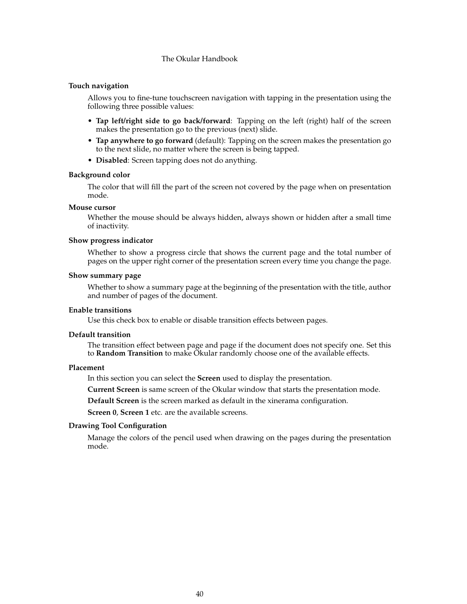#### **Touch navigation**

Allows you to fine-tune touchscreen navigation with tapping in the presentation using the following three possible values:

- **Tap left/right side to go back/forward**: Tapping on the left (right) half of the screen makes the presentation go to the previous (next) slide.
- **Tap anywhere to go forward** (default): Tapping on the screen makes the presentation go to the next slide, no matter where the screen is being tapped.
- **Disabled**: Screen tapping does not do anything.

#### **Background color**

The color that will fill the part of the screen not covered by the page when on presentation mode.

#### **Mouse cursor**

Whether the mouse should be always hidden, always shown or hidden after a small time of inactivity.

#### **Show progress indicator**

Whether to show a progress circle that shows the current page and the total number of pages on the upper right corner of the presentation screen every time you change the page.

#### **Show summary page**

Whether to show a summary page at the beginning of the presentation with the title, author and number of pages of the document.

#### **Enable transitions**

Use this check box to enable or disable transition effects between pages.

#### **Default transition**

The transition effect between page and page if the document does not specify one. Set this to **Random Transition** to make Okular randomly choose one of the available effects.

#### **Placement**

In this section you can select the **Screen** used to display the presentation.

**Current Screen** is same screen of the Okular window that starts the presentation mode.

**Default Screen** is the screen marked as default in the xinerama configuration.

**Screen 0**, **Screen 1** etc. are the available screens.

#### **Drawing Tool Configuration**

Manage the colors of the pencil used when drawing on the pages during the presentation mode.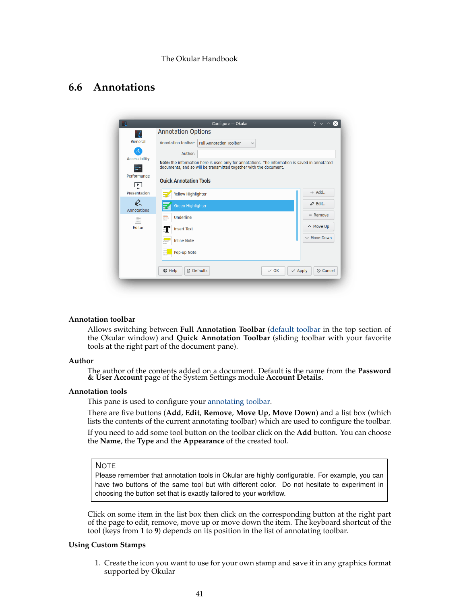# <span id="page-40-1"></span><span id="page-40-0"></span>**6.6 Annotations**

|                           | Configure - Okular                                                                                                                                                  | 2                                    |
|---------------------------|---------------------------------------------------------------------------------------------------------------------------------------------------------------------|--------------------------------------|
| 7                         | <b>Annotation Options</b>                                                                                                                                           |                                      |
| General                   | Annotation toolbar: Full Annotation Toolbar<br>$\checkmark$                                                                                                         |                                      |
|                           | Author:                                                                                                                                                             |                                      |
| Accessibility<br>$\equiv$ | Note: the information here is used only for annotations. The information is saved in annotated<br>documents, and so will be transmitted together with the document. |                                      |
| Performance               |                                                                                                                                                                     |                                      |
| $\frac{1}{11}$            | <b>Ouick Annotation Tools</b>                                                                                                                                       |                                      |
| Presentation              | Yellow Highlighter                                                                                                                                                  | $+$ Add                              |
| Q<br>Annotations          | Green Highlighter                                                                                                                                                   | $\phi$ Edit                          |
| B                         | Trees<br>of and<br>Underline                                                                                                                                        | $-$ Remove                           |
| Editor                    | Æ<br><b>Insert Text</b>                                                                                                                                             | $\land$ Move Up                      |
|                           | $\frac{\sqrt{1+2\pi}}{2}$<br><b>Inline Note</b>                                                                                                                     | $\vee$ Move Down                     |
|                           | $\frac{1}{\sqrt{2}}$<br>Pop-up Note                                                                                                                                 |                                      |
|                           | <b>B</b> Defaults<br>意 Help<br>$\vee$ OK                                                                                                                            | $\checkmark$ Apply<br>$\odot$ Cancel |

#### **Annotation toolbar**

Allows switching between **Full Annotation Toolbar** [\(default toolbar](#page-13-1) in the top section of the Okular window) and **Quick Annotation Toolbar** (sliding toolbar with your favorite tools at the right part of the document pane).

#### **Author**

The author of the contents added on a document. Default is the name from the **Password & User Account** page of the System Settings module **Account Details**.

#### **Annotation tools**

This pane is used to configure your [annotating toolbar.](#page-13-1)

There are five buttons (**Add**, **Edit**, **Remove**, **Move Up**, **Move Down**) and a list box (which lists the contents of the current annotating toolbar) which are used to configure the toolbar.

If you need to add some tool button on the toolbar click on the **Add** button. You can choose the **Name**, the **Type** and the **Appearance** of the created tool.

#### **NOTE**

Please remember that annotation tools in Okular are highly configurable. For example, you can have two buttons of the same tool but with different color. Do not hesitate to experiment in choosing the button set that is exactly tailored to your workflow.

Click on some item in the list box then click on the corresponding button at the right part of the page to edit, remove, move up or move down the item. The keyboard shortcut of the tool (keys from **1** to **9**) depends on its position in the list of annotating toolbar.

#### **Using Custom Stamps**

1. Create the icon you want to use for your own stamp and save it in any graphics format supported by Okular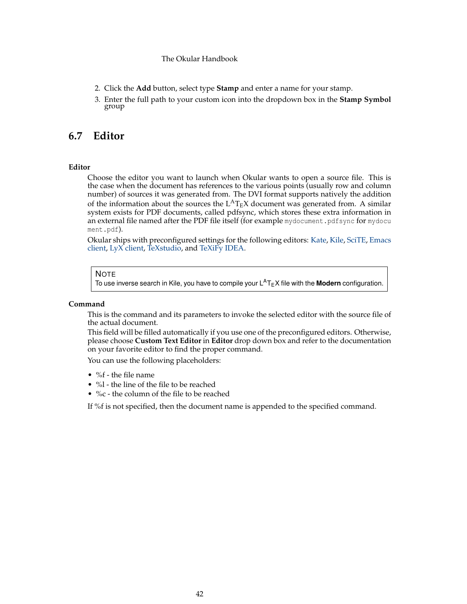- 2. Click the **Add** button, select type **Stamp** and enter a name for your stamp.
- 3. Enter the full path to your custom icon into the dropdown box in the **Stamp Symbol** group

# <span id="page-41-0"></span>**6.7 Editor**

### <span id="page-41-1"></span>**Editor**

Choose the editor you want to launch when Okular wants to open a source file. This is the case when the document has references to the various points (usually row and column number) of sources it was generated from. The DVI format supports natively the addition of the information about the sources the  $L^{AT}EX$  document was generated from. A similar system exists for PDF documents, called pdfsync, which stores these extra information in an external file named after the PDF file itself (for example mydocument.pdfsync for mydocu ment.pdf).

Okular ships with preconfigured settings for the following editors: [Kate,](https://kate-editor.org/) [Kile,](https://kile.sourceforge.io/) [SciTE,](https://www.scintilla.org/SciTE.html) [Emacs](https://www.gnu.org/software/emacs/) [client,](https://www.gnu.org/software/emacs/) [LyX client,](https://www.lyx.org/) [TeXstudio,](https://www.texstudio.org/) and [TeXiFy IDEA.](https://github.com/hannah-sten/texify-idea)

#### NOTE

To use inverse search in Kile, you have to compile your L<sup>A</sup>T<sub>E</sub>X file with the **Modern** configuration.

#### **Command**

This is the command and its parameters to invoke the selected editor with the source file of the actual document.

This field will be filled automatically if you use one of the preconfigured editors. Otherwise, please choose **Custom Text Editor** in **Editor** drop down box and refer to the documentation on your favorite editor to find the proper command.

You can use the following placeholders:

- %f the file name
- %  $\frac{1}{2}$  the line of the file to be reached
- %c the column of the file to be reached

If %f is not specified, then the document name is appended to the specified command.